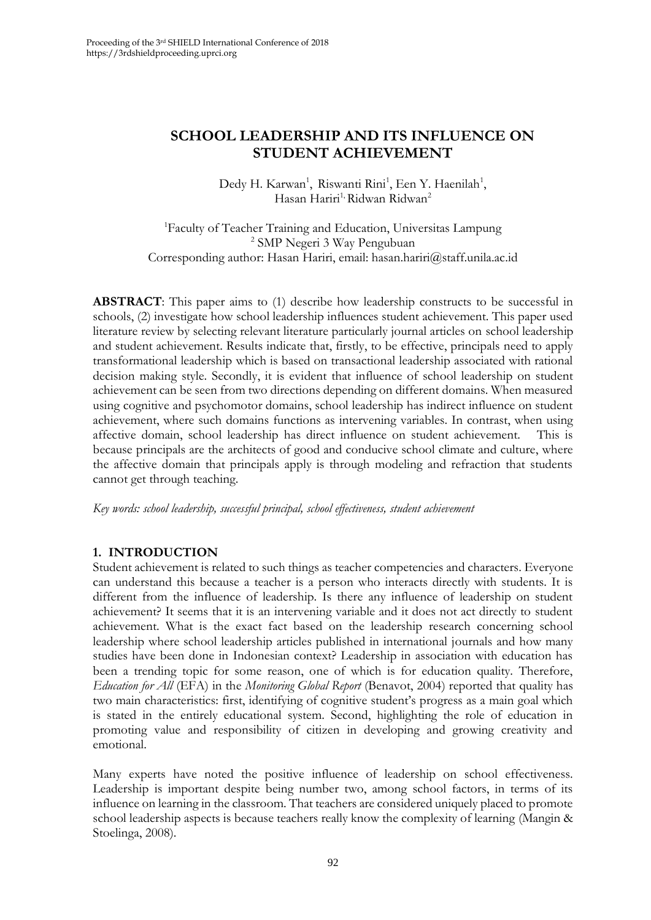# **SCHOOL LEADERSHIP AND ITS INFLUENCE ON STUDENT ACHIEVEMENT**

Dedy H. Karwan<sup>1</sup>, Riswanti Rini<sup>1</sup>, Een Y. Haenilah<sup>1</sup>, Hasan Hariri<sup>1,</sup> Ridwan Ridwan<sup>2</sup>

<sup>1</sup>Faculty of Teacher Training and Education, Universitas Lampung 2 SMP Negeri 3 Way Pengubuan Corresponding author: Hasan Hariri, email: hasan.hariri@staff.unila.ac.id

**ABSTRACT**: This paper aims to (1) describe how leadership constructs to be successful in schools, (2) investigate how school leadership influences student achievement. This paper used literature review by selecting relevant literature particularly journal articles on school leadership and student achievement. Results indicate that, firstly, to be effective, principals need to apply transformational leadership which is based on transactional leadership associated with rational decision making style. Secondly, it is evident that influence of school leadership on student achievement can be seen from two directions depending on different domains. When measured using cognitive and psychomotor domains, school leadership has indirect influence on student achievement, where such domains functions as intervening variables. In contrast, when using affective domain, school leadership has direct influence on student achievement. This is because principals are the architects of good and conducive school climate and culture, where the affective domain that principals apply is through modeling and refraction that students cannot get through teaching.

*Key words: school leadership, successful principal, school effectiveness, student achievement*

#### **1. INTRODUCTION**

Student achievement is related to such things as teacher competencies and characters. Everyone can understand this because a teacher is a person who interacts directly with students. It is different from the influence of leadership. Is there any influence of leadership on student achievement? It seems that it is an intervening variable and it does not act directly to student achievement. What is the exact fact based on the leadership research concerning school leadership where school leadership articles published in international journals and how many studies have been done in Indonesian context? Leadership in association with education has been a trending topic for some reason, one of which is for education quality. Therefore, *Education for All* (EFA) in the *Monitoring Global Report* (Benavot, 2004) reported that quality has two main characteristics: first, identifying of cognitive student's progress as a main goal which is stated in the entirely educational system. Second, highlighting the role of education in promoting value and responsibility of citizen in developing and growing creativity and emotional.

Many experts have noted the positive influence of leadership on school effectiveness. Leadership is important despite being number two, among school factors, in terms of its influence on learning in the classroom. That teachers are considered uniquely placed to promote school leadership aspects is because teachers really know the complexity of learning (Mangin & Stoelinga, 2008).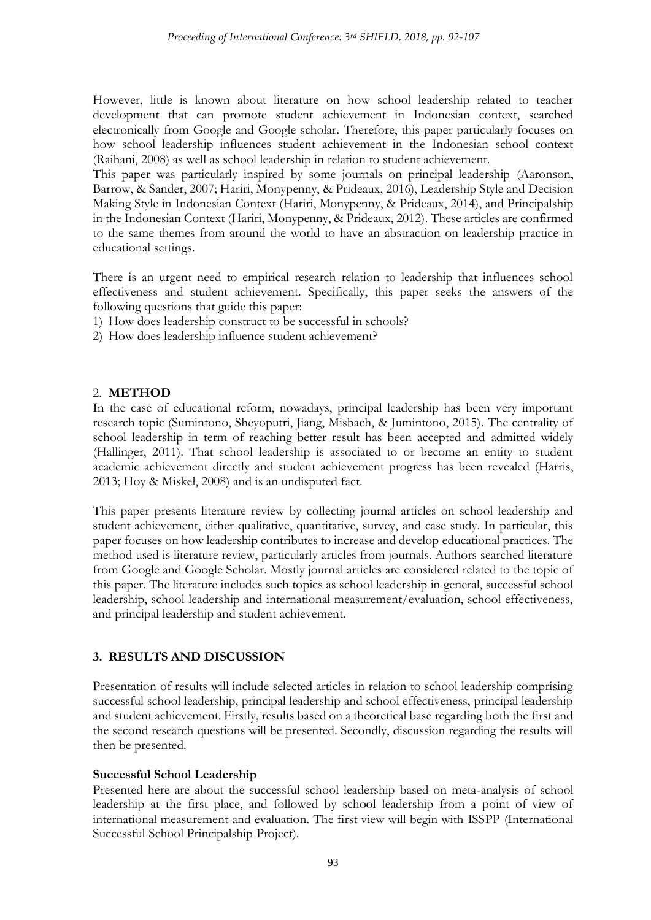However, little is known about literature on how school leadership related to teacher development that can promote student achievement in Indonesian context, searched electronically from Google and Google scholar. Therefore, this paper particularly focuses on how school leadership influences student achievement in the Indonesian school context (Raihani, 2008) as well as school leadership in relation to student achievement.

This paper was particularly inspired by some journals on principal leadership (Aaronson, Barrow, & Sander, 2007; Hariri, Monypenny, & Prideaux, 2016), Leadership Style and Decision Making Style in Indonesian Context (Hariri, Monypenny, & Prideaux, 2014), and Principalship in the Indonesian Context (Hariri, Monypenny, & Prideaux, 2012). These articles are confirmed to the same themes from around the world to have an abstraction on leadership practice in educational settings.

There is an urgent need to empirical research relation to leadership that influences school effectiveness and student achievement. Specifically, this paper seeks the answers of the following questions that guide this paper:

- 1) How does leadership construct to be successful in schools?
- 2) How does leadership influence student achievement?

#### 2. **METHOD**

In the case of educational reform, nowadays, principal leadership has been very important research topic (Sumintono, Sheyoputri, Jiang, Misbach, & Jumintono, 2015). The centrality of school leadership in term of reaching better result has been accepted and admitted widely (Hallinger, 2011). That school leadership is associated to or become an entity to student academic achievement directly and student achievement progress has been revealed (Harris, 2013; Hoy & Miskel, 2008) and is an undisputed fact.

This paper presents literature review by collecting journal articles on school leadership and student achievement, either qualitative, quantitative, survey, and case study. In particular, this paper focuses on how leadership contributes to increase and develop educational practices. The method used is literature review, particularly articles from journals. Authors searched literature from Google and Google Scholar. Mostly journal articles are considered related to the topic of this paper. The literature includes such topics as school leadership in general, successful school leadership, school leadership and international measurement/evaluation, school effectiveness, and principal leadership and student achievement.

# **3. RESULTS AND DISCUSSION**

Presentation of results will include selected articles in relation to school leadership comprising successful school leadership, principal leadership and school effectiveness, principal leadership and student achievement. Firstly, results based on a theoretical base regarding both the first and the second research questions will be presented. Secondly, discussion regarding the results will then be presented.

#### **Successful School Leadership**

Presented here are about the successful school leadership based on meta-analysis of school leadership at the first place, and followed by school leadership from a point of view of international measurement and evaluation. The first view will begin with ISSPP (International Successful School Principalship Project).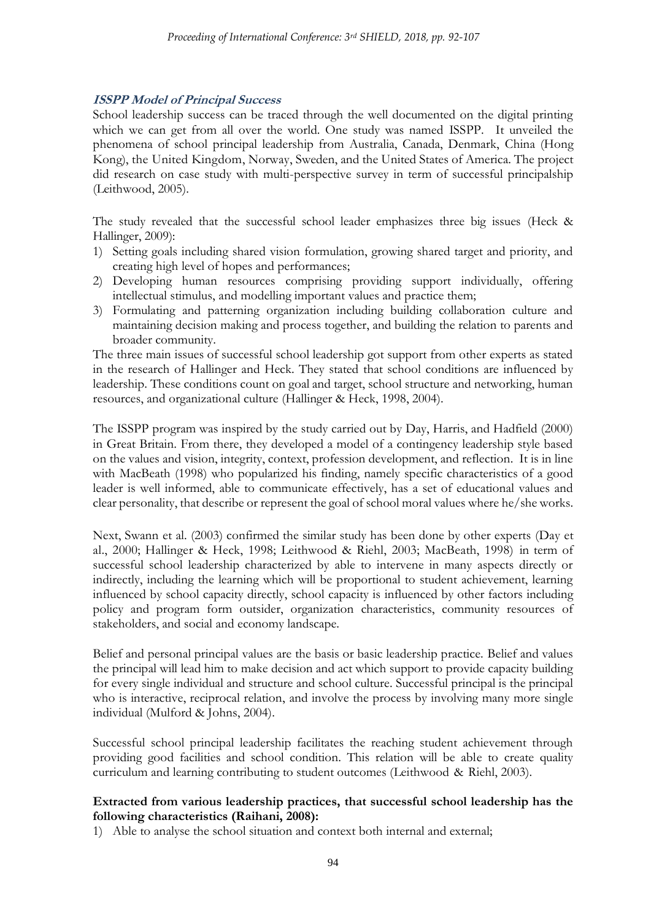### **ISSPP Model of Principal Success**

School leadership success can be traced through the well documented on the digital printing which we can get from all over the world. One study was named ISSPP. It unveiled the phenomena of school principal leadership from Australia, Canada, Denmark, China (Hong Kong), the United Kingdom, Norway, Sweden, and the United States of America. The project did research on case study with multi-perspective survey in term of successful principalship (Leithwood, 2005).

The study revealed that the successful school leader emphasizes three big issues (Heck & Hallinger, 2009):

- 1) Setting goals including shared vision formulation, growing shared target and priority, and creating high level of hopes and performances;
- 2) Developing human resources comprising providing support individually, offering intellectual stimulus, and modelling important values and practice them;
- 3) Formulating and patterning organization including building collaboration culture and maintaining decision making and process together, and building the relation to parents and broader community.

The three main issues of successful school leadership got support from other experts as stated in the research of Hallinger and Heck. They stated that school conditions are influenced by leadership. These conditions count on goal and target, school structure and networking, human resources, and organizational culture (Hallinger & Heck, 1998, 2004).

The ISSPP program was inspired by the study carried out by Day, Harris, and Hadfield (2000) in Great Britain. From there, they developed a model of a contingency leadership style based on the values and vision, integrity, context, profession development, and reflection. It is in line with MacBeath (1998) who popularized his finding, namely specific characteristics of a good leader is well informed, able to communicate effectively, has a set of educational values and clear personality, that describe or represent the goal of school moral values where he/she works.

Next, Swann et al. (2003) confirmed the similar study has been done by other experts (Day et al., 2000; Hallinger & Heck, 1998; Leithwood & Riehl, 2003; MacBeath, 1998) in term of successful school leadership characterized by able to intervene in many aspects directly or indirectly, including the learning which will be proportional to student achievement, learning influenced by school capacity directly, school capacity is influenced by other factors including policy and program form outsider, organization characteristics, community resources of stakeholders, and social and economy landscape.

Belief and personal principal values are the basis or basic leadership practice. Belief and values the principal will lead him to make decision and act which support to provide capacity building for every single individual and structure and school culture. Successful principal is the principal who is interactive, reciprocal relation, and involve the process by involving many more single individual (Mulford & Johns, 2004).

Successful school principal leadership facilitates the reaching student achievement through providing good facilities and school condition. This relation will be able to create quality curriculum and learning contributing to student outcomes (Leithwood & Riehl, 2003).

### **Extracted from various leadership practices, that successful school leadership has the following characteristics (Raihani, 2008):**

1) Able to analyse the school situation and context both internal and external;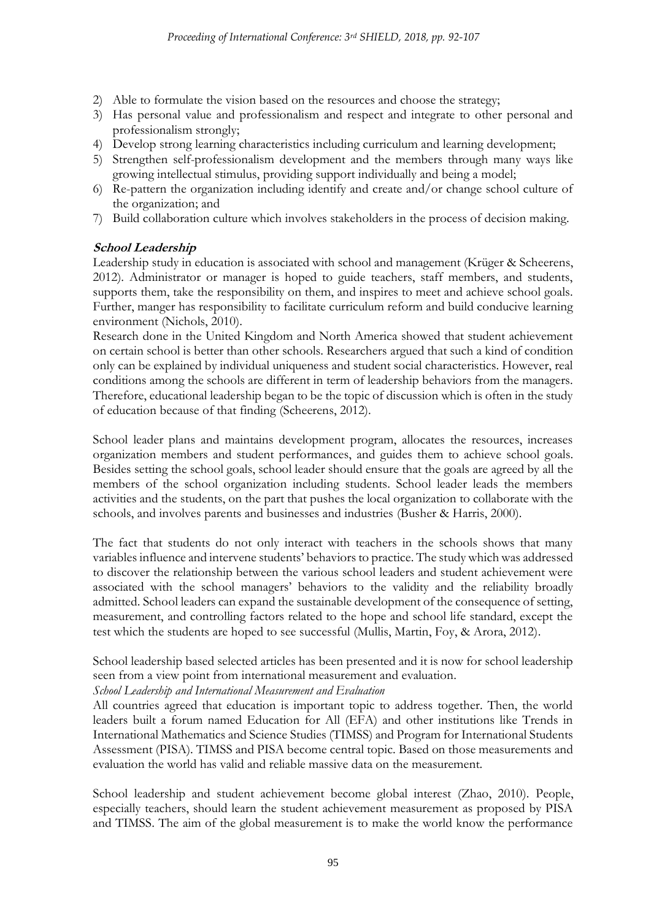- 2) Able to formulate the vision based on the resources and choose the strategy;
- 3) Has personal value and professionalism and respect and integrate to other personal and professionalism strongly;
- 4) Develop strong learning characteristics including curriculum and learning development;
- 5) Strengthen self-professionalism development and the members through many ways like growing intellectual stimulus, providing support individually and being a model;
- 6) Re-pattern the organization including identify and create and/or change school culture of the organization; and
- 7) Build collaboration culture which involves stakeholders in the process of decision making.

# **School Leadership**

Leadership study in education is associated with school and management (Krüger & Scheerens, 2012). Administrator or manager is hoped to guide teachers, staff members, and students, supports them, take the responsibility on them, and inspires to meet and achieve school goals. Further, manger has responsibility to facilitate curriculum reform and build conducive learning environment (Nichols, 2010).

Research done in the United Kingdom and North America showed that student achievement on certain school is better than other schools. Researchers argued that such a kind of condition only can be explained by individual uniqueness and student social characteristics. However, real conditions among the schools are different in term of leadership behaviors from the managers. Therefore, educational leadership began to be the topic of discussion which is often in the study of education because of that finding (Scheerens, 2012).

School leader plans and maintains development program, allocates the resources, increases organization members and student performances, and guides them to achieve school goals. Besides setting the school goals, school leader should ensure that the goals are agreed by all the members of the school organization including students. School leader leads the members activities and the students, on the part that pushes the local organization to collaborate with the schools, and involves parents and businesses and industries (Busher & Harris, 2000).

The fact that students do not only interact with teachers in the schools shows that many variables influence and intervene students' behaviors to practice. The study which was addressed to discover the relationship between the various school leaders and student achievement were associated with the school managers' behaviors to the validity and the reliability broadly admitted. School leaders can expand the sustainable development of the consequence of setting, measurement, and controlling factors related to the hope and school life standard, except the test which the students are hoped to see successful (Mullis, Martin, Foy, & Arora, 2012).

School leadership based selected articles has been presented and it is now for school leadership seen from a view point from international measurement and evaluation.

*School Leadership and International Measurement and Evaluation*

All countries agreed that education is important topic to address together. Then, the world leaders built a forum named Education for All (EFA) and other institutions like Trends in International Mathematics and Science Studies (TIMSS) and Program for International Students Assessment (PISA). TIMSS and PISA become central topic. Based on those measurements and evaluation the world has valid and reliable massive data on the measurement.

School leadership and student achievement become global interest (Zhao, 2010). People, especially teachers, should learn the student achievement measurement as proposed by PISA and TIMSS. The aim of the global measurement is to make the world know the performance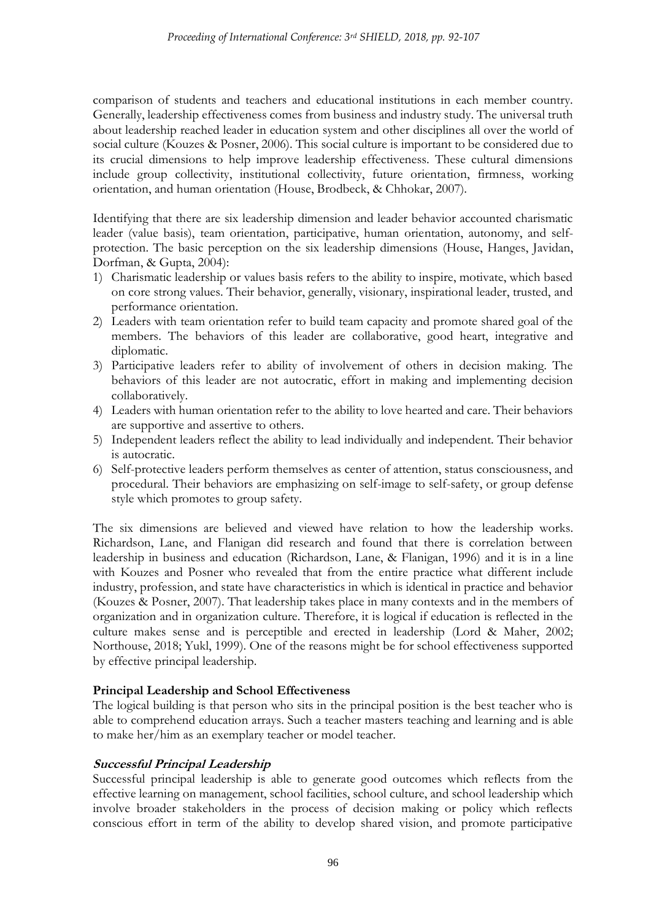comparison of students and teachers and educational institutions in each member country. Generally, leadership effectiveness comes from business and industry study. The universal truth about leadership reached leader in education system and other disciplines all over the world of social culture (Kouzes & Posner, 2006). This social culture is important to be considered due to its crucial dimensions to help improve leadership effectiveness. These cultural dimensions include group collectivity, institutional collectivity, future orientation, firmness, working orientation, and human orientation (House, Brodbeck, & Chhokar, 2007).

Identifying that there are six leadership dimension and leader behavior accounted charismatic leader (value basis), team orientation, participative, human orientation, autonomy, and selfprotection. The basic perception on the six leadership dimensions (House, Hanges, Javidan, Dorfman, & Gupta, 2004):

- 1) Charismatic leadership or values basis refers to the ability to inspire, motivate, which based on core strong values. Their behavior, generally, visionary, inspirational leader, trusted, and performance orientation.
- 2) Leaders with team orientation refer to build team capacity and promote shared goal of the members. The behaviors of this leader are collaborative, good heart, integrative and diplomatic.
- 3) Participative leaders refer to ability of involvement of others in decision making. The behaviors of this leader are not autocratic, effort in making and implementing decision collaboratively.
- 4) Leaders with human orientation refer to the ability to love hearted and care. Their behaviors are supportive and assertive to others.
- 5) Independent leaders reflect the ability to lead individually and independent. Their behavior is autocratic.
- 6) Self-protective leaders perform themselves as center of attention, status consciousness, and procedural. Their behaviors are emphasizing on self-image to self-safety, or group defense style which promotes to group safety.

The six dimensions are believed and viewed have relation to how the leadership works. Richardson, Lane, and Flanigan did research and found that there is correlation between leadership in business and education (Richardson, Lane, & Flanigan, 1996) and it is in a line with Kouzes and Posner who revealed that from the entire practice what different include industry, profession, and state have characteristics in which is identical in practice and behavior (Kouzes & Posner, 2007). That leadership takes place in many contexts and in the members of organization and in organization culture. Therefore, it is logical if education is reflected in the culture makes sense and is perceptible and erected in leadership (Lord & Maher, 2002; Northouse, 2018; Yukl, 1999). One of the reasons might be for school effectiveness supported by effective principal leadership.

# **Principal Leadership and School Effectiveness**

The logical building is that person who sits in the principal position is the best teacher who is able to comprehend education arrays. Such a teacher masters teaching and learning and is able to make her/him as an exemplary teacher or model teacher.

#### **Successful Principal Leadership**

Successful principal leadership is able to generate good outcomes which reflects from the effective learning on management, school facilities, school culture, and school leadership which involve broader stakeholders in the process of decision making or policy which reflects conscious effort in term of the ability to develop shared vision, and promote participative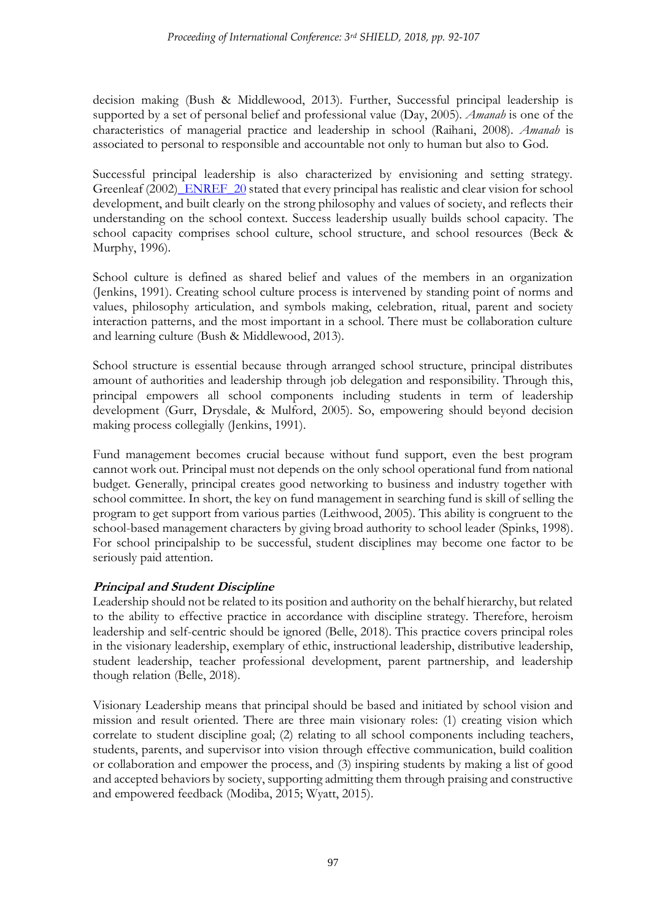decision making (Bush & Middlewood, 2013). Further, Successful principal leadership is supported by a set of personal belief and professional value (Day, 2005). *Amanah* is one of the characteristics of managerial practice and leadership in school (Raihani, 2008). *Amanah* is associated to personal to responsible and accountable not only to human but also to God.

Successful principal leadership is also characterized by envisioning and setting strategy. Greenleaf (2002) ENREF 20 stated that every principal has realistic and clear vision for school development, and built clearly on the strong philosophy and values of society, and reflects their understanding on the school context. Success leadership usually builds school capacity. The school capacity comprises school culture, school structure, and school resources (Beck & Murphy, 1996).

School culture is defined as shared belief and values of the members in an organization (Jenkins, 1991). Creating school culture process is intervened by standing point of norms and values, philosophy articulation, and symbols making, celebration, ritual, parent and society interaction patterns, and the most important in a school. There must be collaboration culture and learning culture (Bush & Middlewood, 2013).

School structure is essential because through arranged school structure, principal distributes amount of authorities and leadership through job delegation and responsibility. Through this, principal empowers all school components including students in term of leadership development (Gurr, Drysdale, & Mulford, 2005). So, empowering should beyond decision making process collegially (Jenkins, 1991).

Fund management becomes crucial because without fund support, even the best program cannot work out. Principal must not depends on the only school operational fund from national budget. Generally, principal creates good networking to business and industry together with school committee. In short, the key on fund management in searching fund is skill of selling the program to get support from various parties (Leithwood, 2005). This ability is congruent to the school-based management characters by giving broad authority to school leader (Spinks, 1998). For school principalship to be successful, student disciplines may become one factor to be seriously paid attention.

# **Principal and Student Discipline**

Leadership should not be related to its position and authority on the behalf hierarchy, but related to the ability to effective practice in accordance with discipline strategy. Therefore, heroism leadership and self-centric should be ignored (Belle, 2018). This practice covers principal roles in the visionary leadership, exemplary of ethic, instructional leadership, distributive leadership, student leadership, teacher professional development, parent partnership, and leadership though relation (Belle, 2018).

Visionary Leadership means that principal should be based and initiated by school vision and mission and result oriented. There are three main visionary roles: (1) creating vision which correlate to student discipline goal; (2) relating to all school components including teachers, students, parents, and supervisor into vision through effective communication, build coalition or collaboration and empower the process, and (3) inspiring students by making a list of good and accepted behaviors by society, supporting admitting them through praising and constructive and empowered feedback (Modiba, 2015; Wyatt, 2015).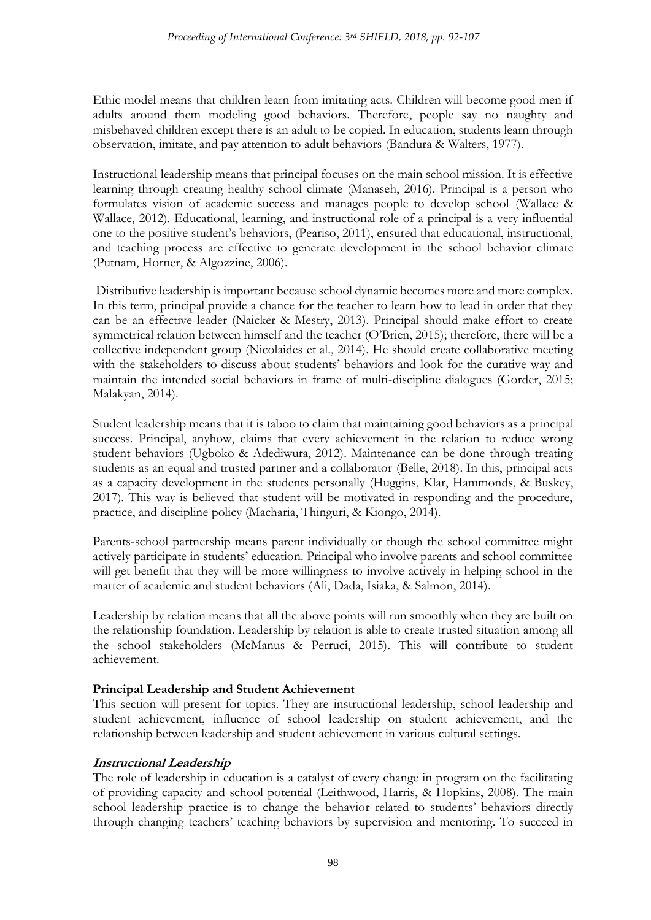Ethic model means that children learn from imitating acts. Children will become good men if adults around them modeling good behaviors. Therefore, people say no naughty and misbehaved children except there is an adult to be copied. In education, students learn through observation, imitate, and pay attention to adult behaviors (Bandura & Walters, 1977).

Instructional leadership means that principal focuses on the main school mission. It is effective learning through creating healthy school climate (Manaseh, 2016). Principal is a person who formulates vision of academic success and manages people to develop school (Wallace & Wallace, 2012). Educational, learning, and instructional role of a principal is a very influential one to the positive student's behaviors, (Peariso, 2011), ensured that educational, instructional, and teaching process are effective to generate development in the school behavior climate (Putnam, Horner, & Algozzine, 2006).

Distributive leadership is important because school dynamic becomes more and more complex. In this term, principal provide a chance for the teacher to learn how to lead in order that they can be an effective leader (Naicker & Mestry, 2013). Principal should make effort to create symmetrical relation between himself and the teacher (O'Brien, 2015); therefore, there will be a collective independent group (Nicolaides et al., 2014). He should create collaborative meeting with the stakeholders to discuss about students' behaviors and look for the curative way and maintain the intended social behaviors in frame of multi-discipline dialogues (Gorder, 2015; Malakyan, 2014).

Student leadership means that it is taboo to claim that maintaining good behaviors as a principal success. Principal, anyhow, claims that every achievement in the relation to reduce wrong student behaviors (Ugboko & Adediwura, 2012). Maintenance can be done through treating students as an equal and trusted partner and a collaborator (Belle, 2018). In this, principal acts as a capacity development in the students personally (Huggins, Klar, Hammonds, & Buskey, 2017). This way is believed that student will be motivated in responding and the procedure, practice, and discipline policy (Macharia, Thinguri, & Kiongo, 2014).

Parents-school partnership means parent individually or though the school committee might actively participate in students' education. Principal who involve parents and school committee will get benefit that they will be more willingness to involve actively in helping school in the matter of academic and student behaviors (Ali, Dada, Isiaka, & Salmon, 2014).

Leadership by relation means that all the above points will run smoothly when they are built on the relationship foundation. Leadership by relation is able to create trusted situation among all the school stakeholders (McManus & Perruci, 2015). This will contribute to student achievement.

# **Principal Leadership and Student Achievement**

This section will present for topics. They are instructional leadership, school leadership and student achievement, influence of school leadership on student achievement, and the relationship between leadership and student achievement in various cultural settings.

# **Instructional Leadership**

The role of leadership in education is a catalyst of every change in program on the facilitating of providing capacity and school potential (Leithwood, Harris, & Hopkins, 2008). The main school leadership practice is to change the behavior related to students' behaviors directly through changing teachers' teaching behaviors by supervision and mentoring. To succeed in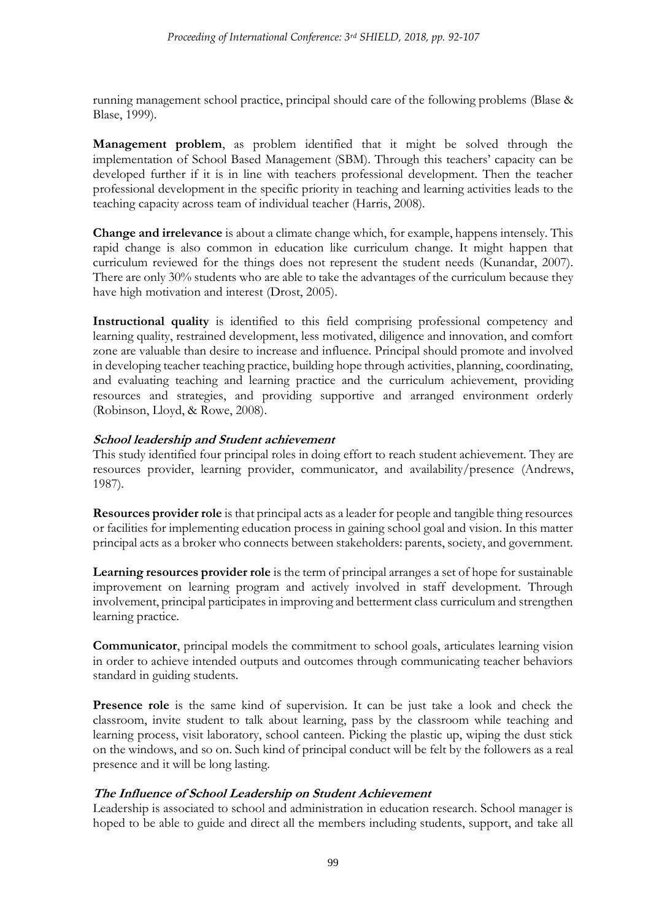running management school practice, principal should care of the following problems (Blase & Blase, 1999).

**Management problem**, as problem identified that it might be solved through the implementation of School Based Management (SBM). Through this teachers' capacity can be developed further if it is in line with teachers professional development. Then the teacher professional development in the specific priority in teaching and learning activities leads to the teaching capacity across team of individual teacher (Harris, 2008).

**Change and irrelevance** is about a climate change which, for example, happens intensely. This rapid change is also common in education like curriculum change. It might happen that curriculum reviewed for the things does not represent the student needs (Kunandar, 2007). There are only 30% students who are able to take the advantages of the curriculum because they have high motivation and interest (Drost, 2005).

**Instructional quality** is identified to this field comprising professional competency and learning quality, restrained development, less motivated, diligence and innovation, and comfort zone are valuable than desire to increase and influence. Principal should promote and involved in developing teacher teaching practice, building hope through activities, planning, coordinating, and evaluating teaching and learning practice and the curriculum achievement, providing resources and strategies, and providing supportive and arranged environment orderly (Robinson, Lloyd, & Rowe, 2008).

### **School leadership and Student achievement**

This study identified four principal roles in doing effort to reach student achievement. They are resources provider, learning provider, communicator, and availability/presence (Andrews, 1987).

**Resources provider role** is that principal acts as a leader for people and tangible thing resources or facilities for implementing education process in gaining school goal and vision. In this matter principal acts as a broker who connects between stakeholders: parents, society, and government.

**Learning resources provider role** is the term of principal arranges a set of hope for sustainable improvement on learning program and actively involved in staff development. Through involvement, principal participates in improving and betterment class curriculum and strengthen learning practice.

**Communicator**, principal models the commitment to school goals, articulates learning vision in order to achieve intended outputs and outcomes through communicating teacher behaviors standard in guiding students.

**Presence role** is the same kind of supervision. It can be just take a look and check the classroom, invite student to talk about learning, pass by the classroom while teaching and learning process, visit laboratory, school canteen. Picking the plastic up, wiping the dust stick on the windows, and so on. Such kind of principal conduct will be felt by the followers as a real presence and it will be long lasting.

# **The Influence of School Leadership on Student Achievement**

Leadership is associated to school and administration in education research. School manager is hoped to be able to guide and direct all the members including students, support, and take all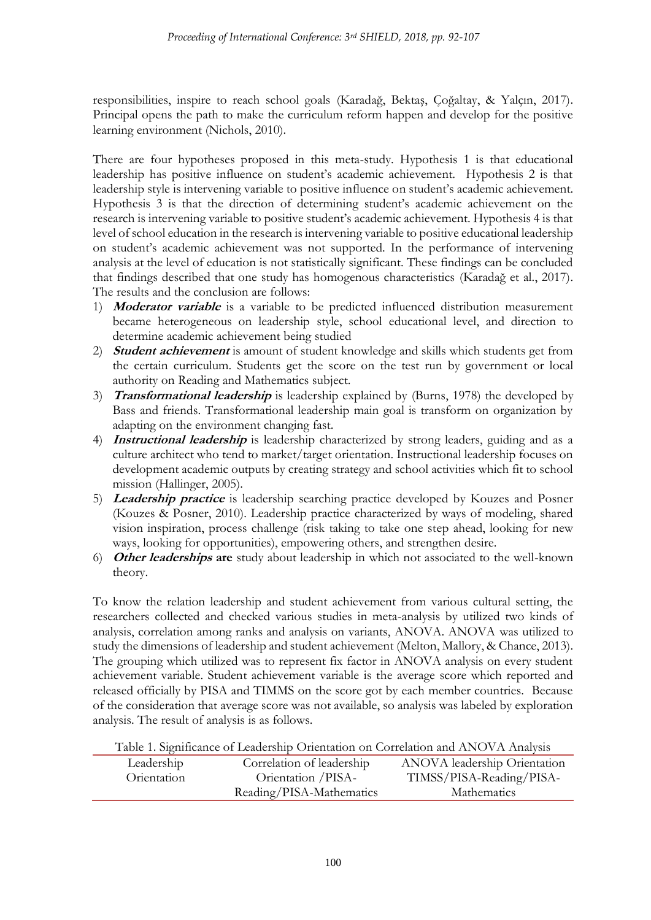responsibilities, inspire to reach school goals (Karadağ, Bektaş, Çoğaltay, & Yalçın, 2017). Principal opens the path to make the curriculum reform happen and develop for the positive learning environment (Nichols, 2010).

There are four hypotheses proposed in this meta-study. Hypothesis 1 is that educational leadership has positive influence on student's academic achievement. Hypothesis 2 is that leadership style is intervening variable to positive influence on student's academic achievement. Hypothesis 3 is that the direction of determining student's academic achievement on the research is intervening variable to positive student's academic achievement. Hypothesis 4 is that level of school education in the research is intervening variable to positive educational leadership on student's academic achievement was not supported. In the performance of intervening analysis at the level of education is not statistically significant. These findings can be concluded that findings described that one study has homogenous characteristics (Karadağ et al., 2017). The results and the conclusion are follows:

- 1) **Moderator variable** is a variable to be predicted influenced distribution measurement became heterogeneous on leadership style, school educational level, and direction to determine academic achievement being studied
- 2) **Student achievement** is amount of student knowledge and skills which students get from the certain curriculum. Students get the score on the test run by government or local authority on Reading and Mathematics subject.
- 3) **Transformational leadership** is leadership explained by (Burns, 1978) the developed by Bass and friends. Transformational leadership main goal is transform on organization by adapting on the environment changing fast.
- 4) **Instructional leadership** is leadership characterized by strong leaders, guiding and as a culture architect who tend to market/target orientation. Instructional leadership focuses on development academic outputs by creating strategy and school activities which fit to school mission (Hallinger, 2005).
- 5) **Leadership practice** is leadership searching practice developed by Kouzes and Posner (Kouzes & Posner, 2010). Leadership practice characterized by ways of modeling, shared vision inspiration, process challenge (risk taking to take one step ahead, looking for new ways, looking for opportunities), empowering others, and strengthen desire.
- 6) **Other leaderships are** study about leadership in which not associated to the well-known theory.

To know the relation leadership and student achievement from various cultural setting, the researchers collected and checked various studies in meta-analysis by utilized two kinds of analysis, correlation among ranks and analysis on variants, ANOVA. ANOVA was utilized to study the dimensions of leadership and student achievement (Melton, Mallory, & Chance, 2013). The grouping which utilized was to represent fix factor in ANOVA analysis on every student achievement variable. Student achievement variable is the average score which reported and released officially by PISA and TIMMS on the score got by each member countries. Because of the consideration that average score was not available, so analysis was labeled by exploration analysis. The result of analysis is as follows.

| Table 1. Significance of Leadership Orientation on Correlation and ANOVA Analysis |  |  |
|-----------------------------------------------------------------------------------|--|--|
|                                                                                   |  |  |

| Leadership  | Correlation of leadership | ANOVA leadership Orientation |
|-------------|---------------------------|------------------------------|
| Orientation | Orientation / PISA-       | TIMSS/PISA-Reading/PISA-     |
|             | Reading/PISA-Mathematics  | Mathematics                  |
|             |                           |                              |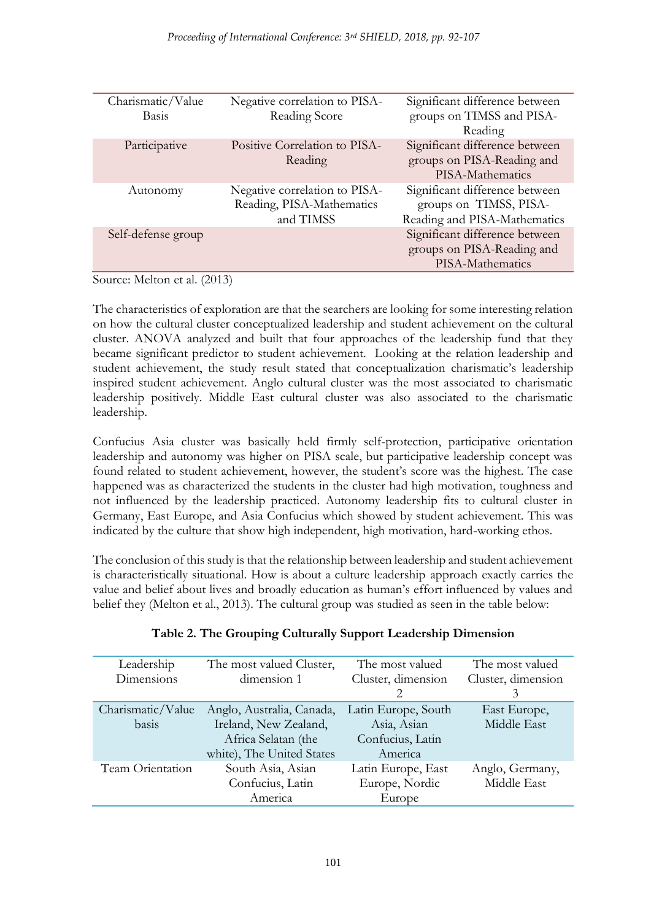| Charismatic/Value<br><b>Basis</b> | Negative correlation to PISA-<br>Reading Score                          | Significant difference between<br>groups on TIMSS and PISA-<br>Reading                   |
|-----------------------------------|-------------------------------------------------------------------------|------------------------------------------------------------------------------------------|
| Participative                     | Positive Correlation to PISA-<br>Reading                                | Significant difference between<br>groups on PISA-Reading and<br>PISA-Mathematics         |
| Autonomy                          | Negative correlation to PISA-<br>Reading, PISA-Mathematics<br>and TIMSS | Significant difference between<br>groups on TIMSS, PISA-<br>Reading and PISA-Mathematics |
| Self-defense group                |                                                                         | Significant difference between<br>groups on PISA-Reading and<br>PISA-Mathematics         |

Source: Melton et al. (2013)

The characteristics of exploration are that the searchers are looking for some interesting relation on how the cultural cluster conceptualized leadership and student achievement on the cultural cluster. ANOVA analyzed and built that four approaches of the leadership fund that they became significant predictor to student achievement. Looking at the relation leadership and student achievement, the study result stated that conceptualization charismatic's leadership inspired student achievement. Anglo cultural cluster was the most associated to charismatic leadership positively. Middle East cultural cluster was also associated to the charismatic leadership.

Confucius Asia cluster was basically held firmly self-protection, participative orientation leadership and autonomy was higher on PISA scale, but participative leadership concept was found related to student achievement, however, the student's score was the highest. The case happened was as characterized the students in the cluster had high motivation, toughness and not influenced by the leadership practiced. Autonomy leadership fits to cultural cluster in Germany, East Europe, and Asia Confucius which showed by student achievement. This was indicated by the culture that show high independent, high motivation, hard-working ethos.

The conclusion of this study is that the relationship between leadership and student achievement is characteristically situational. How is about a culture leadership approach exactly carries the value and belief about lives and broadly education as human's effort influenced by values and belief they (Melton et al., 2013). The cultural group was studied as seen in the table below:

| Leadership<br>Dimensions | The most valued Cluster,<br>dimension 1 | The most valued<br>Cluster, dimension | The most valued<br>Cluster, dimension<br>3 |
|--------------------------|-----------------------------------------|---------------------------------------|--------------------------------------------|
| Charismatic/Value        | Anglo, Australia, Canada,               | Latin Europe, South                   | East Europe,                               |
| basis                    | Ireland, New Zealand,                   | Asia, Asian                           | Middle East                                |
|                          | Africa Selatan (the                     | Confucius, Latin                      |                                            |
|                          | white), The United States               | America                               |                                            |
| Team Orientation         | South Asia, Asian                       | Latin Europe, East                    | Anglo, Germany,                            |
|                          | Confucius, Latin                        | Europe, Nordic                        | Middle East                                |
|                          | America                                 | Europe                                |                                            |

# **Table 2. The Grouping Culturally Support Leadership Dimension**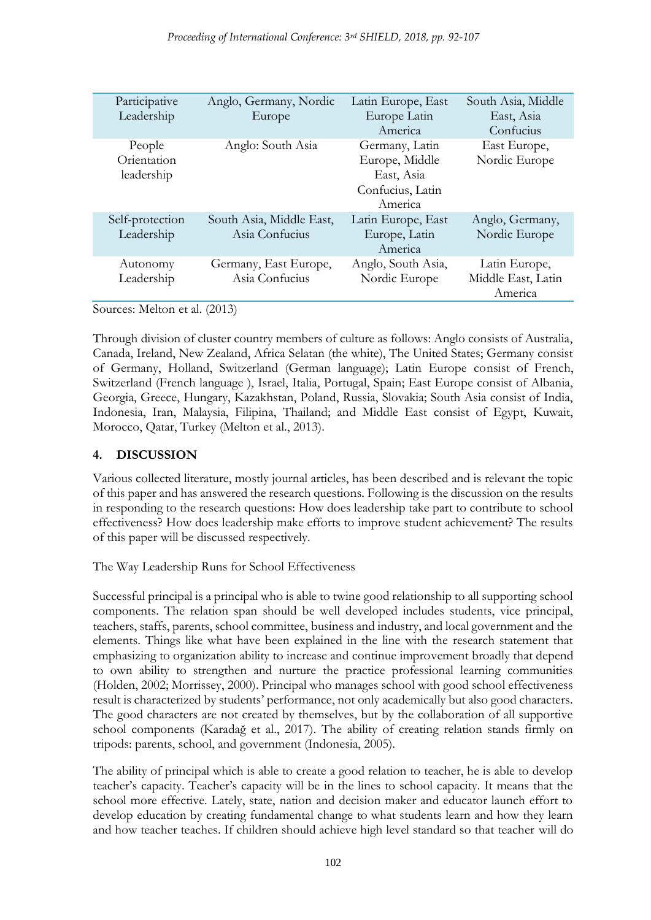| Participative<br>Leadership         | Anglo, Germany, Nordic<br>Europe           | Latin Europe, East<br>Europe Latin<br>America                                 | South Asia, Middle<br>East, Asia<br>Confucius  |
|-------------------------------------|--------------------------------------------|-------------------------------------------------------------------------------|------------------------------------------------|
| People<br>Orientation<br>leadership | Anglo: South Asia                          | Germany, Latin<br>Europe, Middle<br>East, Asia<br>Confucius, Latin<br>America | East Europe,<br>Nordic Europe                  |
| Self-protection<br>Leadership       | South Asia, Middle East,<br>Asia Confucius | Latin Europe, East<br>Europe, Latin<br>America                                | Anglo, Germany,<br>Nordic Europe               |
| Autonomy<br>Leadership              | Germany, East Europe,<br>Asia Confucius    | Anglo, South Asia,<br>Nordic Europe                                           | Latin Europe,<br>Middle East, Latin<br>America |

Sources: Melton et al. (2013)

Through division of cluster country members of culture as follows: Anglo consists of Australia, Canada, Ireland, New Zealand, Africa Selatan (the white), The United States; Germany consist of Germany, Holland, Switzerland (German language); Latin Europe consist of French, Switzerland (French language ), Israel, Italia, Portugal, Spain; East Europe consist of Albania, Georgia, Greece, Hungary, Kazakhstan, Poland, Russia, Slovakia; South Asia consist of India, Indonesia, Iran, Malaysia, Filipina, Thailand; and Middle East consist of Egypt, Kuwait, Morocco, Qatar, Turkey (Melton et al., 2013).

### **4. DISCUSSION**

Various collected literature, mostly journal articles, has been described and is relevant the topic of this paper and has answered the research questions. Following is the discussion on the results in responding to the research questions: How does leadership take part to contribute to school effectiveness? How does leadership make efforts to improve student achievement? The results of this paper will be discussed respectively.

The Way Leadership Runs for School Effectiveness

Successful principal is a principal who is able to twine good relationship to all supporting school components. The relation span should be well developed includes students, vice principal, teachers, staffs, parents, school committee, business and industry, and local government and the elements. Things like what have been explained in the line with the research statement that emphasizing to organization ability to increase and continue improvement broadly that depend to own ability to strengthen and nurture the practice professional learning communities (Holden, 2002; Morrissey, 2000). Principal who manages school with good school effectiveness result is characterized by students' performance, not only academically but also good characters. The good characters are not created by themselves, but by the collaboration of all supportive school components (Karadağ et al., 2017). The ability of creating relation stands firmly on tripods: parents, school, and government (Indonesia, 2005).

The ability of principal which is able to create a good relation to teacher, he is able to develop teacher's capacity. Teacher's capacity will be in the lines to school capacity. It means that the school more effective. Lately, state, nation and decision maker and educator launch effort to develop education by creating fundamental change to what students learn and how they learn and how teacher teaches. If children should achieve high level standard so that teacher will do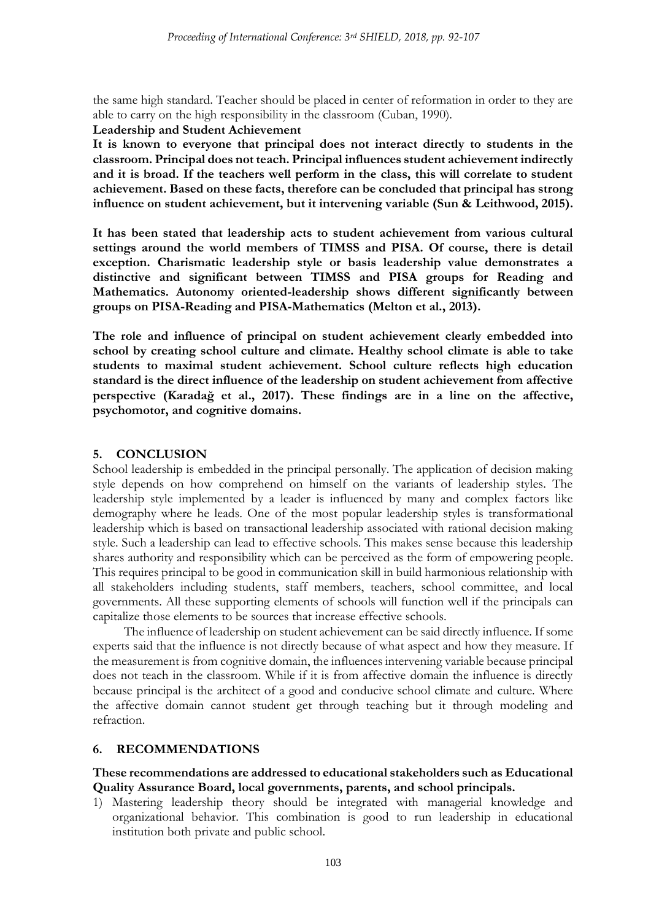the same high standard. Teacher should be placed in center of reformation in order to they are able to carry on the high responsibility in the classroom (Cuban, 1990).

**Leadership and Student Achievement**

**It is known to everyone that principal does not interact directly to students in the classroom. Principal does not teach. Principal influences student achievement indirectly and it is broad. If the teachers well perform in the class, this will correlate to student achievement. Based on these facts, therefore can be concluded that principal has strong influence on student achievement, but it intervening variable (Sun & Leithwood, 2015).**

**It has been stated that leadership acts to student achievement from various cultural settings around the world members of TIMSS and PISA. Of course, there is detail exception. Charismatic leadership style or basis leadership value demonstrates a distinctive and significant between TIMSS and PISA groups for Reading and Mathematics. Autonomy oriented-leadership shows different significantly between groups on PISA-Reading and PISA-Mathematics (Melton et al., 2013).**

**The role and influence of principal on student achievement clearly embedded into school by creating school culture and climate. Healthy school climate is able to take students to maximal student achievement. School culture reflects high education standard is the direct influence of the leadership on student achievement from affective perspective (Karadağ et al., 2017). These findings are in a line on the affective, psychomotor, and cognitive domains.**

#### **5. CONCLUSION**

School leadership is embedded in the principal personally. The application of decision making style depends on how comprehend on himself on the variants of leadership styles. The leadership style implemented by a leader is influenced by many and complex factors like demography where he leads. One of the most popular leadership styles is transformational leadership which is based on transactional leadership associated with rational decision making style. Such a leadership can lead to effective schools. This makes sense because this leadership shares authority and responsibility which can be perceived as the form of empowering people. This requires principal to be good in communication skill in build harmonious relationship with all stakeholders including students, staff members, teachers, school committee, and local governments. All these supporting elements of schools will function well if the principals can capitalize those elements to be sources that increase effective schools.

The influence of leadership on student achievement can be said directly influence. If some experts said that the influence is not directly because of what aspect and how they measure. If the measurement is from cognitive domain, the influences intervening variable because principal does not teach in the classroom. While if it is from affective domain the influence is directly because principal is the architect of a good and conducive school climate and culture. Where the affective domain cannot student get through teaching but it through modeling and refraction.

#### **6. RECOMMENDATIONS**

#### **These recommendations are addressed to educational stakeholders such as Educational Quality Assurance Board, local governments, parents, and school principals.**

1) Mastering leadership theory should be integrated with managerial knowledge and organizational behavior. This combination is good to run leadership in educational institution both private and public school.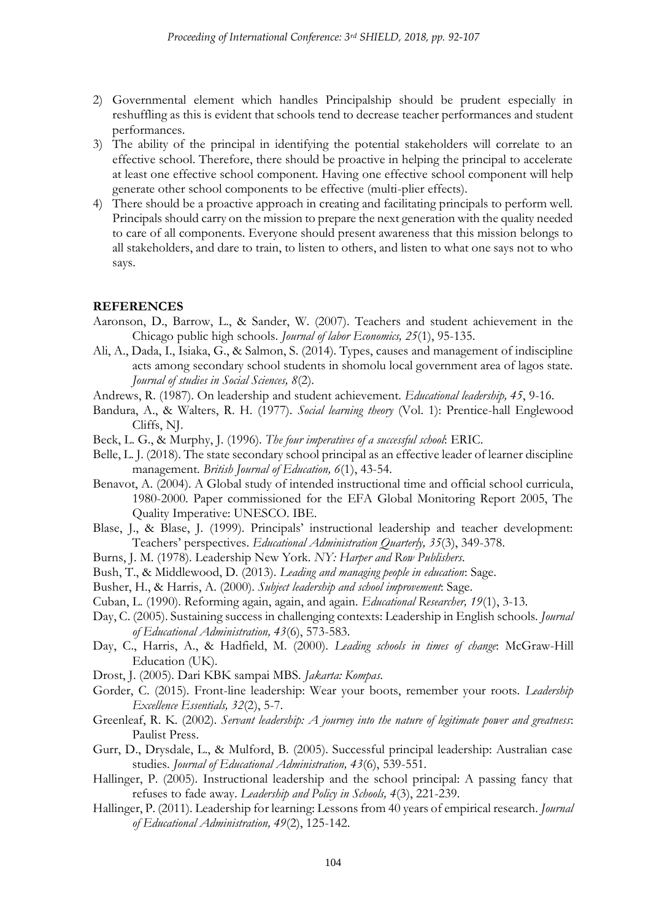- 2) Governmental element which handles Principalship should be prudent especially in reshuffling as this is evident that schools tend to decrease teacher performances and student performances.
- 3) The ability of the principal in identifying the potential stakeholders will correlate to an effective school. Therefore, there should be proactive in helping the principal to accelerate at least one effective school component. Having one effective school component will help generate other school components to be effective (multi-plier effects).
- 4) There should be a proactive approach in creating and facilitating principals to perform well. Principals should carry on the mission to prepare the next generation with the quality needed to care of all components. Everyone should present awareness that this mission belongs to all stakeholders, and dare to train, to listen to others, and listen to what one says not to who says.

#### **REFERENCES**

- Aaronson, D., Barrow, L., & Sander, W. (2007). Teachers and student achievement in the Chicago public high schools. *Journal of labor Economics, 25*(1), 95-135.
- Ali, A., Dada, I., Isiaka, G., & Salmon, S. (2014). Types, causes and management of indiscipline acts among secondary school students in shomolu local government area of lagos state. *Journal of studies in Social Sciences, 8*(2).
- Andrews, R. (1987). On leadership and student achievement. *Educational leadership, 45*, 9-16.
- Bandura, A., & Walters, R. H. (1977). *Social learning theory* (Vol. 1): Prentice-hall Englewood Cliffs, NJ.
- Beck, L. G., & Murphy, J. (1996). *The four imperatives of a successful school*: ERIC.
- Belle, L. J. (2018). The state secondary school principal as an effective leader of learner discipline management. *British Journal of Education, 6*(1), 43-54.
- Benavot, A. (2004). A Global study of intended instructional time and official school curricula, 1980-2000. Paper commissioned for the EFA Global Monitoring Report 2005, The Quality Imperative: UNESCO. IBE.
- Blase, J., & Blase, J. (1999). Principals' instructional leadership and teacher development: Teachers' perspectives. *Educational Administration Quarterly, 35*(3), 349-378.
- Burns, J. M. (1978). Leadership New York. *NY: Harper and Row Publishers*.
- Bush, T., & Middlewood, D. (2013). *Leading and managing people in education*: Sage.
- Busher, H., & Harris, A. (2000). *Subject leadership and school improvement*: Sage.
- Cuban, L. (1990). Reforming again, again, and again. *Educational Researcher, 19*(1), 3-13.
- Day, C. (2005). Sustaining success in challenging contexts: Leadership in English schools. *Journal of Educational Administration, 43*(6), 573-583.
- Day, C., Harris, A., & Hadfield, M. (2000). *Leading schools in times of change*: McGraw-Hill Education (UK).
- Drost, J. (2005). Dari KBK sampai MBS. *Jakarta: Kompas*.
- Gorder, C. (2015). Front-line leadership: Wear your boots, remember your roots. *Leadership Excellence Essentials, 32*(2), 5-7.
- Greenleaf, R. K. (2002). *Servant leadership: A journey into the nature of legitimate power and greatness*: Paulist Press.
- Gurr, D., Drysdale, L., & Mulford, B. (2005). Successful principal leadership: Australian case studies. *Journal of Educational Administration, 43*(6), 539-551.
- Hallinger, P. (2005). Instructional leadership and the school principal: A passing fancy that refuses to fade away. *Leadership and Policy in Schools, 4*(3), 221-239.
- Hallinger, P. (2011). Leadership for learning: Lessons from 40 years of empirical research. *Journal of Educational Administration, 49*(2), 125-142.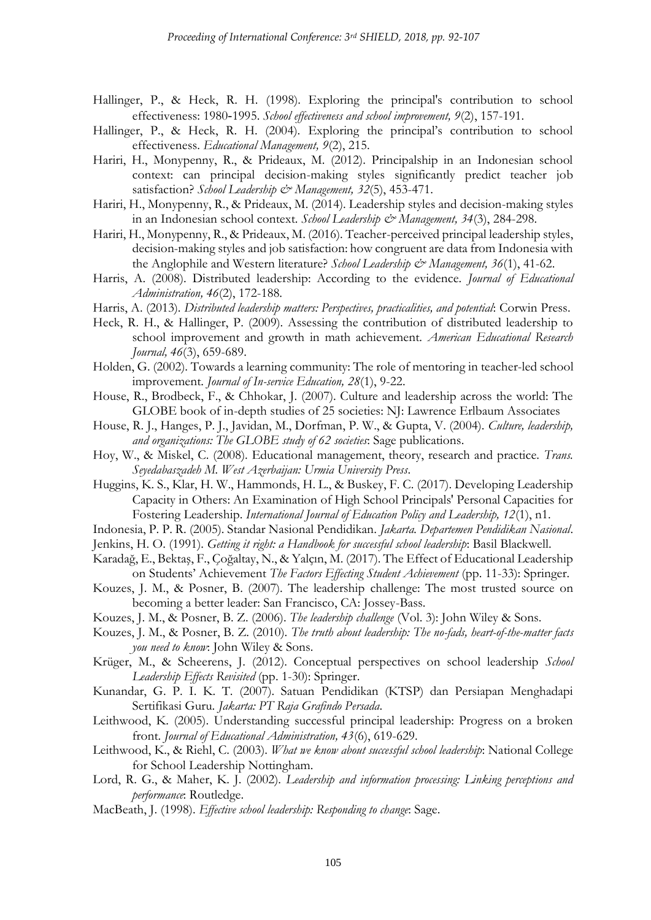- <span id="page-13-0"></span>Hallinger, P., & Heck, R. H. (1998). Exploring the principal's contribution to school effectiveness: 1980‐1995. *School effectiveness and school improvement, 9*(2), 157-191.
- Hallinger, P., & Heck, R. H. (2004). Exploring the principal's contribution to school effectiveness. *Educational Management, 9*(2), 215.
- Hariri, H., Monypenny, R., & Prideaux, M. (2012). Principalship in an Indonesian school context: can principal decision-making styles significantly predict teacher job satisfaction? *School Leadership & Management*, 32(5), 453-471.
- Hariri, H., Monypenny, R., & Prideaux, M. (2014). Leadership styles and decision-making styles in an Indonesian school context. *School Leadership & Management, 34*(3), 284-298.
- Hariri, H., Monypenny, R., & Prideaux, M. (2016). Teacher-perceived principal leadership styles, decision-making styles and job satisfaction: how congruent are data from Indonesia with the Anglophile and Western literature? *School Leadership & Management*, 36(1), 41-62.
- Harris, A. (2008). Distributed leadership: According to the evidence. *Journal of Educational Administration, 46*(2), 172-188.
- Harris, A. (2013). *Distributed leadership matters: Perspectives, practicalities, and potential*: Corwin Press.
- Heck, R. H., & Hallinger, P. (2009). Assessing the contribution of distributed leadership to school improvement and growth in math achievement. *American Educational Research Journal, 46*(3), 659-689.
- Holden, G. (2002). Towards a learning community: The role of mentoring in teacher-led school improvement. *Journal of In-service Education, 28*(1), 9-22.
- House, R., Brodbeck, F., & Chhokar, J. (2007). Culture and leadership across the world: The GLOBE book of in-depth studies of 25 societies: NJ: Lawrence Erlbaum Associates
- House, R. J., Hanges, P. J., Javidan, M., Dorfman, P. W., & Gupta, V. (2004). *Culture, leadership, and organizations: The GLOBE study of 62 societies*: Sage publications.
- Hoy, W., & Miskel, C. (2008). Educational management, theory, research and practice. *Trans. Seyedabaszadeh M. West Azerbaijan: Urmia University Press*.
- Huggins, K. S., Klar, H. W., Hammonds, H. L., & Buskey, F. C. (2017). Developing Leadership Capacity in Others: An Examination of High School Principals' Personal Capacities for Fostering Leadership. *International Journal of Education Policy and Leadership, 12*(1), n1.
- Indonesia, P. P. R. (2005). Standar Nasional Pendidikan. *Jakarta. Departemen Pendidikan Nasional*.
- Jenkins, H. O. (1991). *Getting it right: a Handbook for successful school leadership*: Basil Blackwell.
- Karadağ, E., Bektaş, F., Çoğaltay, N., & Yalçın, M. (2017). The Effect of Educational Leadership on Students' Achievement *The Factors Effecting Student Achievement* (pp. 11-33): Springer.
- Kouzes, J. M., & Posner, B. (2007). The leadership challenge: The most trusted source on becoming a better leader: San Francisco, CA: Jossey-Bass.
- Kouzes, J. M., & Posner, B. Z. (2006). *The leadership challenge* (Vol. 3): John Wiley & Sons.
- Kouzes, J. M., & Posner, B. Z. (2010). *The truth about leadership: The no-fads, heart-of-the-matter facts you need to know*: John Wiley & Sons.
- Krüger, M., & Scheerens, J. (2012). Conceptual perspectives on school leadership *School Leadership Effects Revisited* (pp. 1-30): Springer.
- Kunandar, G. P. I. K. T. (2007). Satuan Pendidikan (KTSP) dan Persiapan Menghadapi Sertifikasi Guru. *Jakarta: PT Raja Grafindo Persada*.
- Leithwood, K. (2005). Understanding successful principal leadership: Progress on a broken front. *Journal of Educational Administration, 43*(6), 619-629.
- Leithwood, K., & Riehl, C. (2003). *What we know about successful school leadership*: National College for School Leadership Nottingham.
- Lord, R. G., & Maher, K. J. (2002). *Leadership and information processing: Linking perceptions and performance*: Routledge.
- MacBeath, J. (1998). *Effective school leadership: Responding to change*: Sage.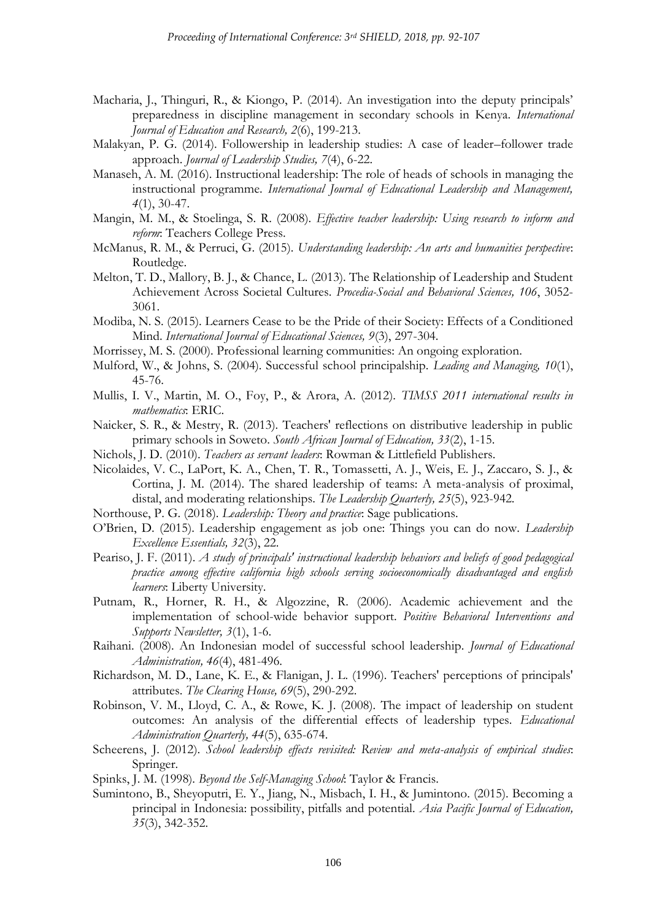- Macharia, J., Thinguri, R., & Kiongo, P. (2014). An investigation into the deputy principals' preparedness in discipline management in secondary schools in Kenya. *International Journal of Education and Research, 2*(6), 199-213.
- Malakyan, P. G. (2014). Followership in leadership studies: A case of leader–follower trade approach. *Journal of Leadership Studies, 7*(4), 6-22.
- Manaseh, A. M. (2016). Instructional leadership: The role of heads of schools in managing the instructional programme. *International Journal of Educational Leadership and Management, 4*(1), 30-47.
- Mangin, M. M., & Stoelinga, S. R. (2008). *Effective teacher leadership: Using research to inform and reform*: Teachers College Press.
- McManus, R. M., & Perruci, G. (2015). *Understanding leadership: An arts and humanities perspective*: Routledge.
- Melton, T. D., Mallory, B. J., & Chance, L. (2013). The Relationship of Leadership and Student Achievement Across Societal Cultures. *Procedia-Social and Behavioral Sciences, 106*, 3052- 3061.
- Modiba, N. S. (2015). Learners Cease to be the Pride of their Society: Effects of a Conditioned Mind. *International Journal of Educational Sciences, 9*(3), 297-304.
- Morrissey, M. S. (2000). Professional learning communities: An ongoing exploration.
- Mulford, W., & Johns, S. (2004). Successful school principalship. *Leading and Managing, 10*(1), 45-76.
- Mullis, I. V., Martin, M. O., Foy, P., & Arora, A. (2012). *TIMSS 2011 international results in mathematics*: ERIC.
- Naicker, S. R., & Mestry, R. (2013). Teachers' reflections on distributive leadership in public primary schools in Soweto. *South African Journal of Education, 33*(2), 1-15.
- Nichols, J. D. (2010). *Teachers as servant leaders*: Rowman & Littlefield Publishers.
- Nicolaides, V. C., LaPort, K. A., Chen, T. R., Tomassetti, A. J., Weis, E. J., Zaccaro, S. J., & Cortina, J. M. (2014). The shared leadership of teams: A meta-analysis of proximal, distal, and moderating relationships. *The Leadership Quarterly, 25*(5), 923-942.
- Northouse, P. G. (2018). *Leadership: Theory and practice*: Sage publications.
- O'Brien, D. (2015). Leadership engagement as job one: Things you can do now. *Leadership Excellence Essentials, 32*(3), 22.
- Peariso, J. F. (2011). *A study of principals' instructional leadership behaviors and beliefs of good pedagogical practice among effective california high schools serving socioeconomically disadvantaged and english learners*: Liberty University.
- Putnam, R., Horner, R. H., & Algozzine, R. (2006). Academic achievement and the implementation of school-wide behavior support. *Positive Behavioral Interventions and Supports Newsletter, 3*(1), 1-6.
- Raihani. (2008). An Indonesian model of successful school leadership. *Journal of Educational Administration, 46*(4), 481-496.
- Richardson, M. D., Lane, K. E., & Flanigan, J. L. (1996). Teachers' perceptions of principals' attributes. *The Clearing House, 69*(5), 290-292.
- Robinson, V. M., Lloyd, C. A., & Rowe, K. J. (2008). The impact of leadership on student outcomes: An analysis of the differential effects of leadership types. *Educational Administration Quarterly, 44*(5), 635-674.
- Scheerens, J. (2012). *School leadership effects revisited: Review and meta-analysis of empirical studies*: Springer.
- Spinks, J. M. (1998). *Beyond the Self-Managing School*: Taylor & Francis.
- Sumintono, B., Sheyoputri, E. Y., Jiang, N., Misbach, I. H., & Jumintono. (2015). Becoming a principal in Indonesia: possibility, pitfalls and potential. *Asia Pacific Journal of Education, 35*(3), 342-352.